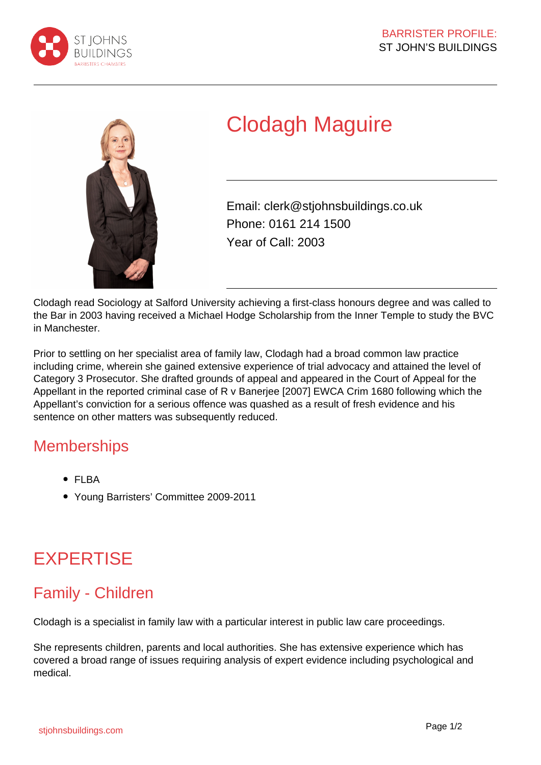



# Clodagh Maguire

Email: clerk@stjohnsbuildings.co.uk Phone: 0161 214 1500 Year of Call: 2003

Clodagh read Sociology at Salford University achieving a first-class honours degree and was called to the Bar in 2003 having received a Michael Hodge Scholarship from the Inner Temple to study the BVC in Manchester.

Prior to settling on her specialist area of family law, Clodagh had a broad common law practice including crime, wherein she gained extensive experience of trial advocacy and attained the level of Category 3 Prosecutor. She drafted grounds of appeal and appeared in the Court of Appeal for the Appellant in the reported criminal case of R v Banerjee [2007] EWCA Crim 1680 following which the Appellant's conviction for a serious offence was quashed as a result of fresh evidence and his sentence on other matters was subsequently reduced.

### **Memberships**

- FLBA
- Young Barristers' Committee 2009-2011

## **EXPERTISE**

### Family - Children

Clodagh is a specialist in family law with a particular interest in public law care proceedings.

She represents children, parents and local authorities. She has extensive experience which has covered a broad range of issues requiring analysis of expert evidence including psychological and medical.